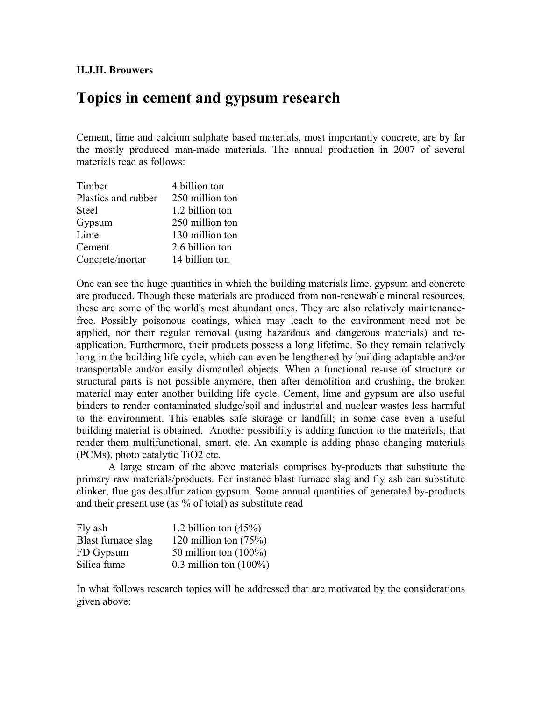## **H.J.H. Brouwers**

# **Topics in cement and gypsum research**

Cement, lime and calcium sulphate based materials, most importantly concrete, are by far the mostly produced man-made materials. The annual production in 2007 of several materials read as follows:

| Timber              | 4 billion ton   |
|---------------------|-----------------|
| Plastics and rubber | 250 million ton |
| <b>Steel</b>        | 1.2 billion ton |
| Gypsum              | 250 million ton |
| Lime                | 130 million ton |
| Cement              | 2.6 billion ton |
| Concrete/mortar     | 14 billion ton  |

One can see the huge quantities in which the building materials lime, gypsum and concrete are produced. Though these materials are produced from non-renewable mineral resources, these are some of the world's most abundant ones. They are also relatively maintenancefree. Possibly poisonous coatings, which may leach to the environment need not be applied, nor their regular removal (using hazardous and dangerous materials) and reapplication. Furthermore, their products possess a long lifetime. So they remain relatively long in the building life cycle, which can even be lengthened by building adaptable and/or transportable and/or easily dismantled objects. When a functional re-use of structure or structural parts is not possible anymore, then after demolition and crushing, the broken material may enter another building life cycle. Cement, lime and gypsum are also useful binders to render contaminated sludge/soil and industrial and nuclear wastes less harmful to the environment. This enables safe storage or landfill; in some case even a useful building material is obtained. Another possibility is adding function to the materials, that render them multifunctional, smart, etc. An example is adding phase changing materials (PCMs), photo catalytic TiO2 etc.

A large stream of the above materials comprises by-products that substitute the primary raw materials/products. For instance blast furnace slag and fly ash can substitute clinker, flue gas desulfurization gypsum. Some annual quantities of generated by-products and their present use (as % of total) as substitute read

| Fly ash            | 1.2 billion ton $(45\%)$  |
|--------------------|---------------------------|
| Blast furnace slag | 120 million ton $(75%)$   |
| FD Gypsum          | 50 million ton $(100\%)$  |
| Silica fume        | 0.3 million ton $(100\%)$ |

In what follows research topics will be addressed that are motivated by the considerations given above: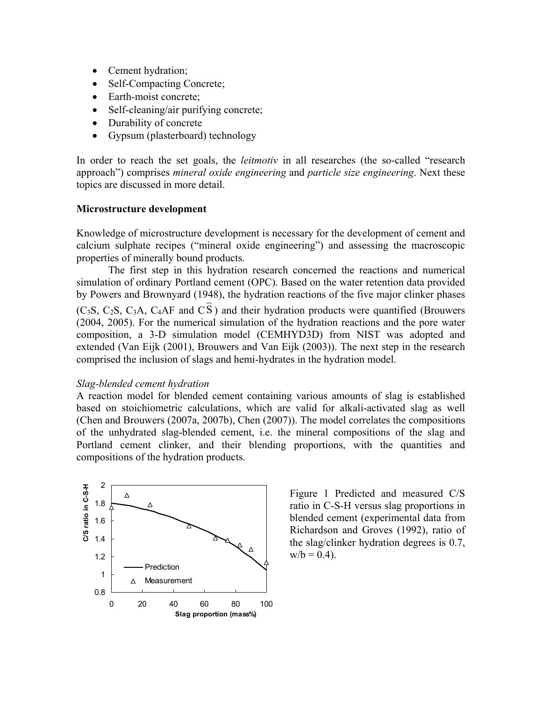- Cement hydration;
- Self-Compacting Concrete;
- Earth-moist concrete;
- Self-cleaning/air purifying concrete;
- Durability of concrete
- Gypsum (plasterboard) technology

In order to reach the set goals, the *leitmotiv* in all researches (the so-called "research approach") comprises *mineral oxide engineering* and *particle size engineering*. Next these topics are discussed in more detail.

## **Microstructure development**

Knowledge of microstructure development is necessary for the development of cement and calcium sulphate recipes ("mineral oxide engineering") and assessing the macroscopic properties of minerally bound products.

The first step in this hydration research concerned the reactions and numerical simulation of ordinary Portland cement (OPC). Based on the water retention data provided by Powers and Brownyard (1948), the hydration reactions of the five major clinker phases (C<sub>3</sub>S, C<sub>2</sub>S, C<sub>3</sub>A, C<sub>4</sub>AF and  $\overline{C}$ ) and their hydration products were quantified (Brouwers (2004, 2005). For the numerical simulation of the hydration reactions and the pore water composition, a 3-D simulation model (CEMHYD3D) from NIST was adopted and extended (Van Eijk (2001), Brouwers and Van Eijk (2003)). The next step in the research comprised the inclusion of slags and hemi-hydrates in the hydration model.

## *Slag-blended cement hydration*

A reaction model for blended cement containing various amounts of slag is established based on stoichiometric calculations, which are valid for alkali-activated slag as well (Chen and Brouwers (2007a, 2007b), Chen (2007)). The model correlates the compositions of the unhydrated slag-blended cement, i.e. the mineral compositions of the slag and Portland cement clinker, and their blending proportions, with the quantities and compositions of the hydration products.



Figure 1 Predicted and measured C/S ratio in C-S-H versus slag proportions in blended cement (experimental data from Richardson and Groves (1992), ratio of the slag/clinker hydration degrees is 0.7,  $w/b = 0.4$ ).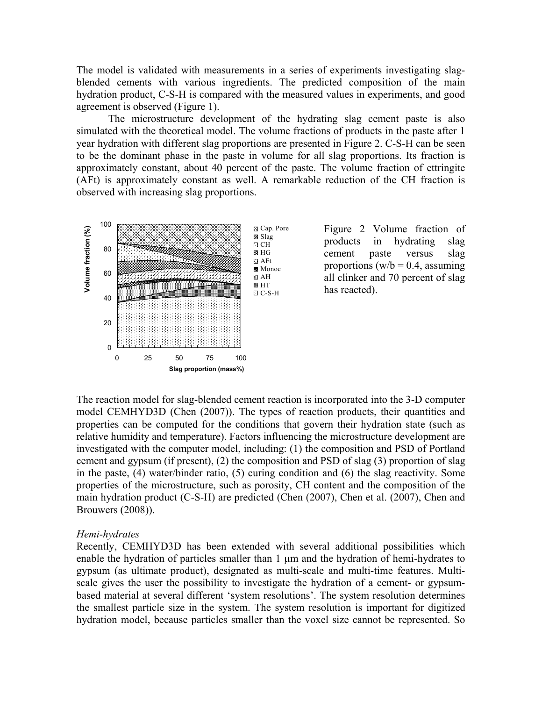The model is validated with measurements in a series of experiments investigating slagblended cements with various ingredients. The predicted composition of the main hydration product, C-S-H is compared with the measured values in experiments, and good agreement is observed (Figure 1).

The microstructure development of the hydrating slag cement paste is also simulated with the theoretical model. The volume fractions of products in the paste after 1 year hydration with different slag proportions are presented in Figure 2. C-S-H can be seen to be the dominant phase in the paste in volume for all slag proportions. Its fraction is approximately constant, about 40 percent of the paste. The volume fraction of ettringite (AFt) is approximately constant as well. A remarkable reduction of the CH fraction is observed with increasing slag proportions.



The reaction model for slag-blended cement reaction is incorporated into the 3-D computer model CEMHYD3D (Chen (2007)). The types of reaction products, their quantities and properties can be computed for the conditions that govern their hydration state (such as relative humidity and temperature). Factors influencing the microstructure development are investigated with the computer model, including: (1) the composition and PSD of Portland cement and gypsum (if present), (2) the composition and PSD of slag (3) proportion of slag in the paste, (4) water/binder ratio, (5) curing condition and (6) the slag reactivity. Some properties of the microstructure, such as porosity, CH content and the composition of the main hydration product (C-S-H) are predicted (Chen (2007), Chen et al. (2007), Chen and Brouwers (2008)).

#### *Hemi-hydrates*

Recently, CEMHYD3D has been extended with several additional possibilities which enable the hydration of particles smaller than 1  $\mu$ m and the hydration of hemi-hydrates to gypsum (as ultimate product), designated as multi-scale and multi-time features. Multiscale gives the user the possibility to investigate the hydration of a cement- or gypsumbased material at several different 'system resolutions'. The system resolution determines the smallest particle size in the system. The system resolution is important for digitized hydration model, because particles smaller than the voxel size cannot be represented. So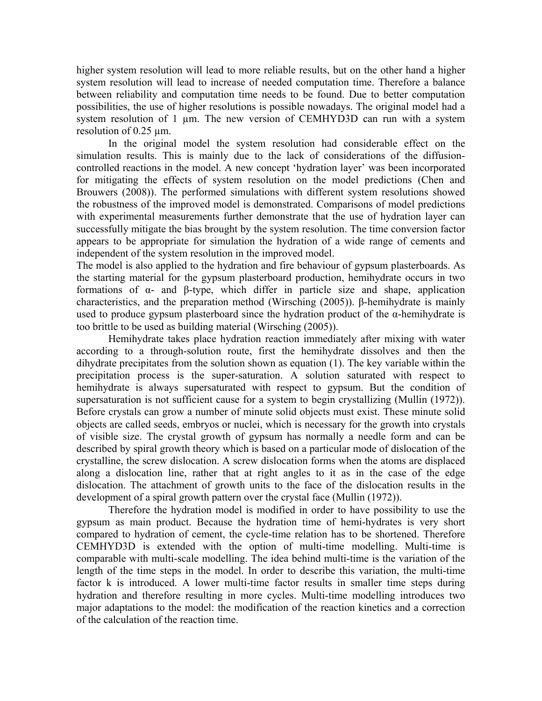higher system resolution will lead to more reliable results, but on the other hand a higher system resolution will lead to increase of needed computation time. Therefore a balance between reliability and computation time needs to be found. Due to better computation possibilities, the use of higher resolutions is possible nowadays. The original model had a system resolution of 1 um. The new version of CEMHYD3D can run with a system resolution of 0.25 µm.

In the original model the system resolution had considerable effect on the simulation results. This is mainly due to the lack of considerations of the diffusioncontrolled reactions in the model. A new concept 'hydration layer' was been incorporated for mitigating the effects of system resolution on the model predictions (Chen and Brouwers (2008)). The performed simulations with different system resolutions showed the robustness of the improved model is demonstrated. Comparisons of model predictions with experimental measurements further demonstrate that the use of hydration layer can successfully mitigate the bias brought by the system resolution. The time conversion factor appears to be appropriate for simulation the hydration of a wide range of cements and independent of the system resolution in the improved model.

The model is also applied to the hydration and fire behaviour of gypsum plasterboards. As the starting material for the gypsum plasterboard production, hemihydrate occurs in two formations of α- and β-type, which differ in particle size and shape, application characteristics, and the preparation method (Wirsching (2005)). β-hemihydrate is mainly used to produce gypsum plasterboard since the hydration product of the  $\alpha$ -hemihydrate is too brittle to be used as building material (Wirsching (2005)).

Hemihydrate takes place hydration reaction immediately after mixing with water according to a through-solution route, first the hemihydrate dissolves and then the dihydrate precipitates from the solution shown as equation (1). The key variable within the precipitation process is the super-saturation. A solution saturated with respect to hemihydrate is always supersaturated with respect to gypsum. But the condition of supersaturation is not sufficient cause for a system to begin crystallizing (Mullin (1972)). Before crystals can grow a number of minute solid objects must exist. These minute solid objects are called seeds, embryos or nuclei, which is necessary for the growth into crystals of visible size. The crystal growth of gypsum has normally a needle form and can be described by spiral growth theory which is based on a particular mode of dislocation of the crystalline, the screw dislocation. A screw dislocation forms when the atoms are displaced along a dislocation line, rather that at right angles to it as in the case of the edge dislocation. The attachment of growth units to the face of the dislocation results in the development of a spiral growth pattern over the crystal face (Mullin (1972)).

 Therefore the hydration model is modified in order to have possibility to use the gypsum as main product. Because the hydration time of hemi-hydrates is very short compared to hydration of cement, the cycle-time relation has to be shortened. Therefore CEMHYD3D is extended with the option of multi-time modelling. Multi-time is comparable with multi-scale modelling. The idea behind multi-time is the variation of the length of the time steps in the model. In order to describe this variation, the multi-time factor k is introduced. A lower multi-time factor results in smaller time steps during hydration and therefore resulting in more cycles. Multi-time modelling introduces two major adaptations to the model: the modification of the reaction kinetics and a correction of the calculation of the reaction time.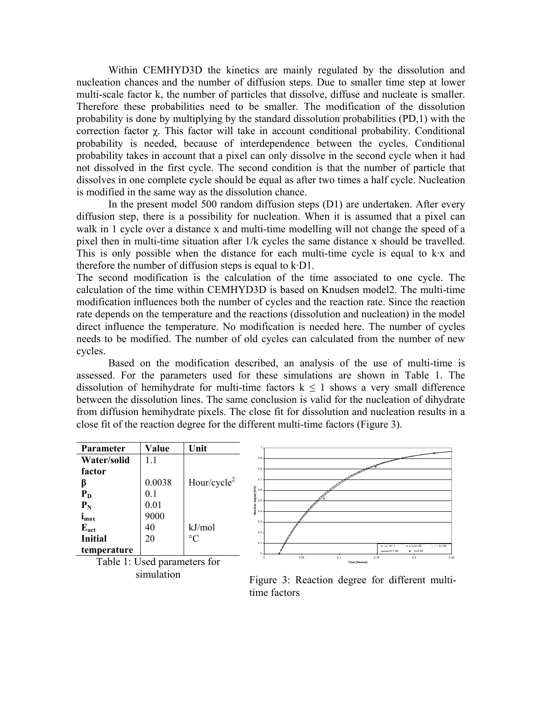Within CEMHYD3D the kinetics are mainly regulated by the dissolution and nucleation chances and the number of diffusion steps. Due to smaller time step at lower multi-scale factor k, the number of particles that dissolve, diffuse and nucleate is smaller. Therefore these probabilities need to be smaller. The modification of the dissolution probability is done by multiplying by the standard dissolution probabilities (PD,1) with the correction factor χ. This factor will take in account conditional probability. Conditional probability is needed, because of interdependence between the cycles. Conditional probability takes in account that a pixel can only dissolve in the second cycle when it had not dissolved in the first cycle. The second condition is that the number of particle that dissolves in one complete cycle should be equal as after two times a half cycle. Nucleation is modified in the same way as the dissolution chance.

In the present model 500 random diffusion steps (D1) are undertaken. After every diffusion step, there is a possibility for nucleation. When it is assumed that a pixel can walk in 1 cycle over a distance x and multi-time modelling will not change the speed of a pixel then in multi-time situation after 1/k cycles the same distance x should be travelled. This is only possible when the distance for each multi-time cycle is equal to k·x and therefore the number of diffusion steps is equal to k·D1.

The second modification is the calculation of the time associated to one cycle. The calculation of the time within CEMHYD3D is based on Knudsen model2. The multi-time modification influences both the number of cycles and the reaction rate. Since the reaction rate depends on the temperature and the reactions (dissolution and nucleation) in the model direct influence the temperature. No modification is needed here. The number of cycles needs to be modified. The number of old cycles can calculated from the number of new cycles.

Based on the modification described, an analysis of the use of multi-time is assessed. For the parameters used for these simulations are shown in Table 1. The dissolution of hemihydrate for multi-time factors  $k \le 1$  shows a very small difference between the dissolution lines. The same conclusion is valid for the nucleation of dihydrate from diffusion hemihydrate pixels. The close fit for dissolution and nucleation results in a close fit of the reaction degree for the different multi-time factors (Figure 3).

| Parameter      | Value                          | Unit            |                              |      |                             |      |                           |                                  |          |
|----------------|--------------------------------|-----------------|------------------------------|------|-----------------------------|------|---------------------------|----------------------------------|----------|
| Water/solid    | 1.1                            |                 | 0.9                          |      |                             |      |                           |                                  |          |
| factor         |                                |                 | 0.8                          |      |                             |      |                           |                                  |          |
|                | 0.0038                         | Hour/cycle $2$  | 0.7                          |      |                             |      |                           |                                  |          |
| $P_D$          | 0.1                            |                 | $\sum_{\geq 0.6}$            |      |                             |      |                           |                                  |          |
| $P_N$          | 0.01                           |                 | 0.5<br>ਚ<br>ਭ <sub>0.4</sub> |      |                             |      |                           |                                  |          |
| $_{\rm lmax}$  | 9000                           |                 | 0.3                          |      |                             |      |                           |                                  |          |
| $E_{act}$      | 40                             | kJ/mol          | 0.2                          |      |                             |      |                           |                                  |          |
| <b>Initial</b> | 20                             | $\rm ^{\circ}C$ | 0.1                          |      |                             |      |                           |                                  |          |
| temperature    |                                |                 |                              |      |                             |      | $- - -$ k=1<br>$-$ k=1.00 | $- - - k = 25$<br>$x = k = 2.00$ | $$ k=.50 |
|                | Table $1:$ Used narameters for |                 |                              | 0.05 | 0.1<br><b>Time [Houres]</b> | 0.15 |                           | 0.2                              | 0.25     |

Table 1: Used parameters for simulation

Figure 3: Reaction degree for different multitime factors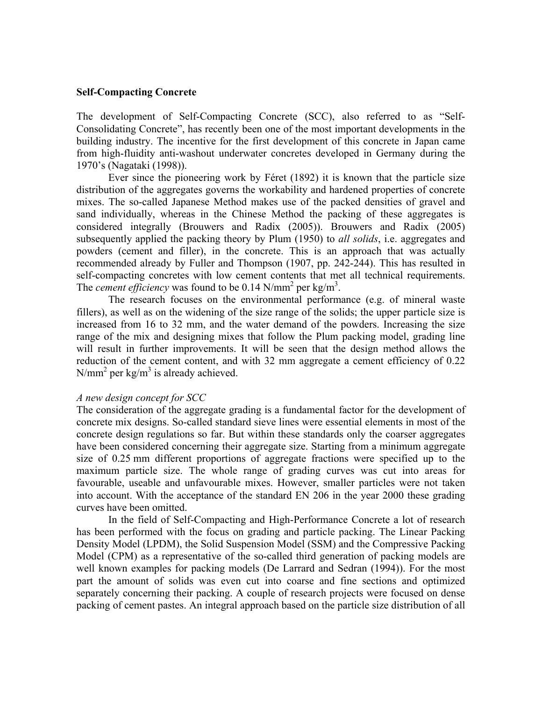## **Self-Compacting Concrete**

The development of Self-Compacting Concrete (SCC), also referred to as "Self-Consolidating Concrete", has recently been one of the most important developments in the building industry. The incentive for the first development of this concrete in Japan came from high-fluidity anti-washout underwater concretes developed in Germany during the 1970's (Nagataki (1998)).

Ever since the pioneering work by Féret (1892) it is known that the particle size distribution of the aggregates governs the workability and hardened properties of concrete mixes. The so-called Japanese Method makes use of the packed densities of gravel and sand individually, whereas in the Chinese Method the packing of these aggregates is considered integrally (Brouwers and Radix (2005)). Brouwers and Radix (2005) subsequently applied the packing theory by Plum (1950) to *all solids*, i.e. aggregates and powders (cement and filler), in the concrete. This is an approach that was actually recommended already by Fuller and Thompson (1907, pp. 242-244). This has resulted in self-compacting concretes with low cement contents that met all technical requirements. The *cement efficiency* was found to be  $0.14$  N/mm<sup>2</sup> per kg/m<sup>3</sup>.

The research focuses on the environmental performance (e.g. of mineral waste fillers), as well as on the widening of the size range of the solids; the upper particle size is increased from 16 to 32 mm, and the water demand of the powders. Increasing the size range of the mix and designing mixes that follow the Plum packing model, grading line will result in further improvements. It will be seen that the design method allows the reduction of the cement content, and with 32 mm aggregate a cement efficiency of 0.22  $N/mm<sup>2</sup>$  per kg/m<sup>3</sup> is already achieved.

#### *A new design concept for SCC*

The consideration of the aggregate grading is a fundamental factor for the development of concrete mix designs. So-called standard sieve lines were essential elements in most of the concrete design regulations so far. But within these standards only the coarser aggregates have been considered concerning their aggregate size. Starting from a minimum aggregate size of 0.25 mm different proportions of aggregate fractions were specified up to the maximum particle size. The whole range of grading curves was cut into areas for favourable, useable and unfavourable mixes. However, smaller particles were not taken into account. With the acceptance of the standard EN 206 in the year 2000 these grading curves have been omitted.

In the field of Self-Compacting and High-Performance Concrete a lot of research has been performed with the focus on grading and particle packing. The Linear Packing Density Model (LPDM), the Solid Suspension Model (SSM) and the Compressive Packing Model (CPM) as a representative of the so-called third generation of packing models are well known examples for packing models (De Larrard and Sedran (1994)). For the most part the amount of solids was even cut into coarse and fine sections and optimized separately concerning their packing. A couple of research projects were focused on dense packing of cement pastes. An integral approach based on the particle size distribution of all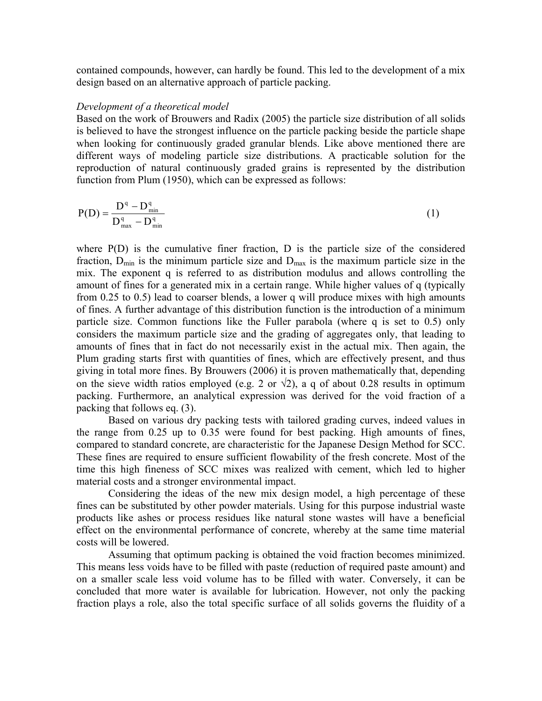contained compounds, however, can hardly be found. This led to the development of a mix design based on an alternative approach of particle packing.

## *Development of a theoretical model*

Based on the work of Brouwers and Radix (2005) the particle size distribution of all solids is believed to have the strongest influence on the particle packing beside the particle shape when looking for continuously graded granular blends. Like above mentioned there are different ways of modeling particle size distributions. A practicable solution for the reproduction of natural continuously graded grains is represented by the distribution function from Plum (1950), which can be expressed as follows:

$$
P(D) = \frac{D^{q} - D_{min}^{q}}{D_{max}^{q} - D_{min}^{q}}
$$
 (1)

where P(D) is the cumulative finer fraction, D is the particle size of the considered fraction,  $D_{\text{min}}$  is the minimum particle size and  $D_{\text{max}}$  is the maximum particle size in the mix. The exponent q is referred to as distribution modulus and allows controlling the amount of fines for a generated mix in a certain range. While higher values of q (typically from 0.25 to 0.5) lead to coarser blends, a lower q will produce mixes with high amounts of fines. A further advantage of this distribution function is the introduction of a minimum particle size. Common functions like the Fuller parabola (where q is set to 0.5) only considers the maximum particle size and the grading of aggregates only, that leading to amounts of fines that in fact do not necessarily exist in the actual mix. Then again, the Plum grading starts first with quantities of fines, which are effectively present, and thus giving in total more fines. By Brouwers (2006) it is proven mathematically that, depending on the sieve width ratios employed (e.g. 2 or  $\sqrt{2}$ ), a q of about 0.28 results in optimum packing. Furthermore, an analytical expression was derived for the void fraction of a packing that follows eq. (3).

 Based on various dry packing tests with tailored grading curves, indeed values in the range from 0.25 up to 0.35 were found for best packing. High amounts of fines, compared to standard concrete, are characteristic for the Japanese Design Method for SCC. These fines are required to ensure sufficient flowability of the fresh concrete. Most of the time this high fineness of SCC mixes was realized with cement, which led to higher material costs and a stronger environmental impact.

Considering the ideas of the new mix design model, a high percentage of these fines can be substituted by other powder materials. Using for this purpose industrial waste products like ashes or process residues like natural stone wastes will have a beneficial effect on the environmental performance of concrete, whereby at the same time material costs will be lowered.

 Assuming that optimum packing is obtained the void fraction becomes minimized. This means less voids have to be filled with paste (reduction of required paste amount) and on a smaller scale less void volume has to be filled with water. Conversely, it can be concluded that more water is available for lubrication. However, not only the packing fraction plays a role, also the total specific surface of all solids governs the fluidity of a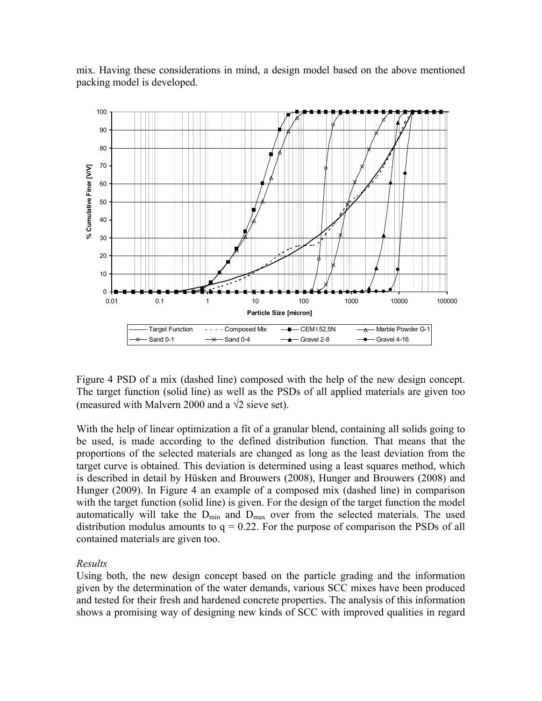mix. Having these considerations in mind, a design model based on the above mentioned packing model is developed.



Figure 4 PSD of a mix (dashed line) composed with the help of the new design concept. The target function (solid line) as well as the PSDs of all applied materials are given too (measured with Malvern 2000 and a  $\sqrt{2}$  sieve set).

With the help of linear optimization a fit of a granular blend, containing all solids going to be used, is made according to the defined distribution function. That means that the proportions of the selected materials are changed as long as the least deviation from the target curve is obtained. This deviation is determined using a least squares method, which is described in detail by Hüsken and Brouwers (2008), Hunger and Brouwers (2008) and Hunger (2009). In Figure 4 an example of a composed mix (dashed line) in comparison with the target function (solid line) is given. For the design of the target function the model automatically will take the  $D_{min}$  and  $D_{max}$  over from the selected materials. The used distribution modulus amounts to  $q = 0.22$ . For the purpose of comparison the PSDs of all contained materials are given too.

## *Results*

Using both, the new design concept based on the particle grading and the information given by the determination of the water demands, various SCC mixes have been produced and tested for their fresh and hardened concrete properties. The analysis of this information shows a promising way of designing new kinds of SCC with improved qualities in regard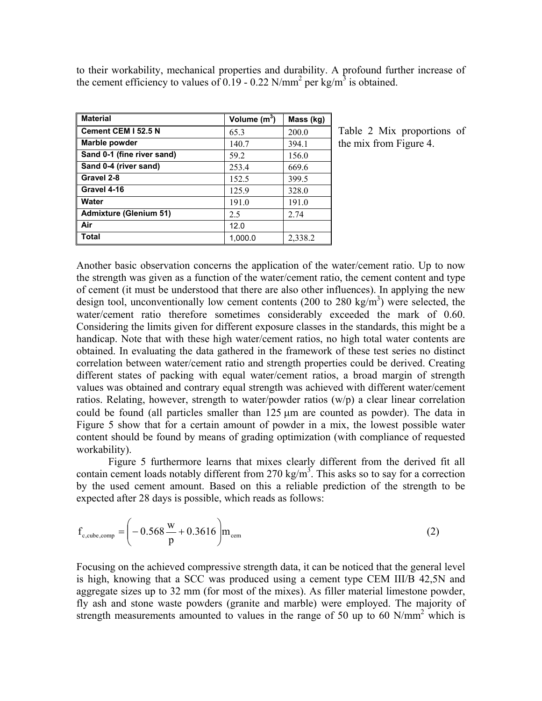to their workability, mechanical properties and durability. A profound further increase of the cement efficiency to values of 0.19 - 0.22 N/mm<sup>2</sup> per kg/m<sup>3</sup> is obtained.

| <b>Material</b>               | Volume $(m^3)$ | Mass (kg) |
|-------------------------------|----------------|-----------|
| Cement CEM I 52.5 N           | 65.3           | 200.0     |
| Marble powder                 | 140.7          | 394.1     |
| Sand 0-1 (fine river sand)    | 59.2           | 156.0     |
| Sand 0-4 (river sand)         | 253.4          | 669.6     |
| Gravel 2-8                    | 152.5          | 399.5     |
| Gravel 4-16                   | 125.9          | 328.0     |
| Water                         | 191.0          | 191.0     |
| <b>Admixture (Glenium 51)</b> | 2.5            | 2.74      |
| Air                           | 12.0           |           |
| Total                         | 1,000.0        | 2,338.2   |

Table 2 Mix proportions of the mix from Figure 4.

Another basic observation concerns the application of the water/cement ratio. Up to now the strength was given as a function of the water/cement ratio, the cement content and type of cement (it must be understood that there are also other influences). In applying the new design tool, unconventionally low cement contents (200 to 280 kg/m<sup>3</sup>) were selected, the water/cement ratio therefore sometimes considerably exceeded the mark of 0.60. Considering the limits given for different exposure classes in the standards, this might be a handicap. Note that with these high water/cement ratios, no high total water contents are obtained. In evaluating the data gathered in the framework of these test series no distinct correlation between water/cement ratio and strength properties could be derived. Creating different states of packing with equal water/cement ratios, a broad margin of strength values was obtained and contrary equal strength was achieved with different water/cement ratios. Relating, however, strength to water/powder ratios (w/p) a clear linear correlation could be found (all particles smaller than 125 μm are counted as powder). The data in Figure 5 show that for a certain amount of powder in a mix, the lowest possible water content should be found by means of grading optimization (with compliance of requested workability).

Figure 5 furthermore learns that mixes clearly different from the derived fit all contain cement loads notably different from 270 kg/m<sup>3</sup>. This asks so to say for a correction by the used cement amount. Based on this a reliable prediction of the strength to be expected after 28 days is possible, which reads as follows:

$$
f_{c, cube, comp} = \left(-0.568 \frac{w}{p} + 0.3616\right) m_{cem}
$$
 (2)

Focusing on the achieved compressive strength data, it can be noticed that the general level is high, knowing that a SCC was produced using a cement type CEM III/B 42,5N and aggregate sizes up to 32 mm (for most of the mixes). As filler material limestone powder, fly ash and stone waste powders (granite and marble) were employed. The majority of strength measurements amounted to values in the range of 50 up to 60 N/mm<sup>2</sup> which is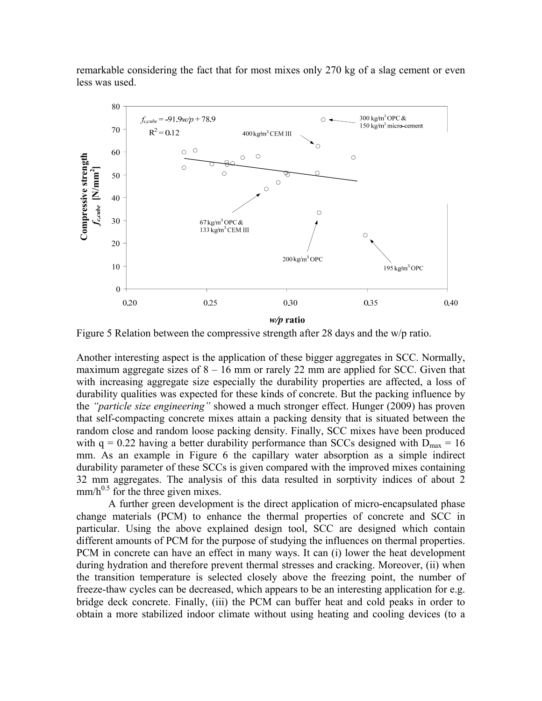remarkable considering the fact that for most mixes only 270 kg of a slag cement or even less was used.



Figure 5 Relation between the compressive strength after 28 days and the w/p ratio.

Another interesting aspect is the application of these bigger aggregates in SCC. Normally, maximum aggregate sizes of  $8 - 16$  mm or rarely 22 mm are applied for SCC. Given that with increasing aggregate size especially the durability properties are affected, a loss of durability qualities was expected for these kinds of concrete. But the packing influence by the *"particle size engineering"* showed a much stronger effect. Hunger (2009) has proven that self-compacting concrete mixes attain a packing density that is situated between the random close and random loose packing density. Finally, SCC mixes have been produced with  $q = 0.22$  having a better durability performance than SCCs designed with  $D_{\text{max}} = 16$ mm. As an example in Figure 6 the capillary water absorption as a simple indirect durability parameter of these SCCs is given compared with the improved mixes containing 32 mm aggregates. The analysis of this data resulted in sorptivity indices of about 2  $mm/h^{0.5}$  for the three given mixes.

A further green development is the direct application of micro-encapsulated phase change materials (PCM) to enhance the thermal properties of concrete and SCC in particular. Using the above explained design tool, SCC are designed which contain different amounts of PCM for the purpose of studying the influences on thermal properties. PCM in concrete can have an effect in many ways. It can (i) lower the heat development during hydration and therefore prevent thermal stresses and cracking. Moreover, (ii) when the transition temperature is selected closely above the freezing point, the number of freeze-thaw cycles can be decreased, which appears to be an interesting application for e.g. bridge deck concrete. Finally, (iii) the PCM can buffer heat and cold peaks in order to obtain a more stabilized indoor climate without using heating and cooling devices (to a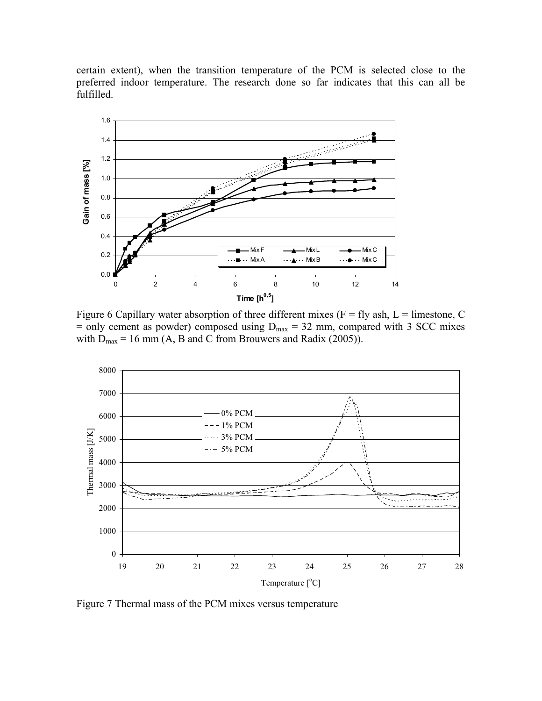certain extent), when the transition temperature of the PCM is selected close to the preferred indoor temperature. The research done so far indicates that this can all be fulfilled.



Figure 6 Capillary water absorption of three different mixes ( $F = fly$  ash,  $L =$  limestone, C  $=$  only cement as powder) composed using  $D_{\text{max}} = 32$  mm, compared with 3 SCC mixes with  $D_{\text{max}} = 16 \text{ mm}$  (A, B and C from Brouwers and Radix (2005)).



Figure 7 Thermal mass of the PCM mixes versus temperature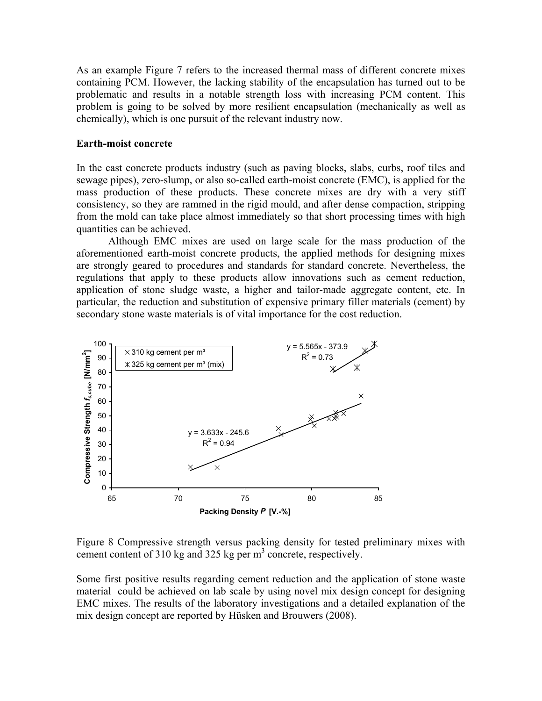As an example Figure 7 refers to the increased thermal mass of different concrete mixes containing PCM. However, the lacking stability of the encapsulation has turned out to be problematic and results in a notable strength loss with increasing PCM content. This problem is going to be solved by more resilient encapsulation (mechanically as well as chemically), which is one pursuit of the relevant industry now.

## **Earth-moist concrete**

In the cast concrete products industry (such as paving blocks, slabs, curbs, roof tiles and sewage pipes), zero-slump, or also so-called earth-moist concrete (EMC), is applied for the mass production of these products. These concrete mixes are dry with a very stiff consistency, so they are rammed in the rigid mould, and after dense compaction, stripping from the mold can take place almost immediately so that short processing times with high quantities can be achieved.

Although EMC mixes are used on large scale for the mass production of the aforementioned earth-moist concrete products, the applied methods for designing mixes are strongly geared to procedures and standards for standard concrete. Nevertheless, the regulations that apply to these products allow innovations such as cement reduction, application of stone sludge waste, a higher and tailor-made aggregate content, etc. In particular, the reduction and substitution of expensive primary filler materials (cement) by secondary stone waste materials is of vital importance for the cost reduction.



Figure 8 Compressive strength versus packing density for tested preliminary mixes with cement content of 310 kg and 325 kg per m<sup>3</sup> concrete, respectively.

Some first positive results regarding cement reduction and the application of stone waste material could be achieved on lab scale by using novel mix design concept for designing EMC mixes. The results of the laboratory investigations and a detailed explanation of the mix design concept are reported by Hüsken and Brouwers (2008).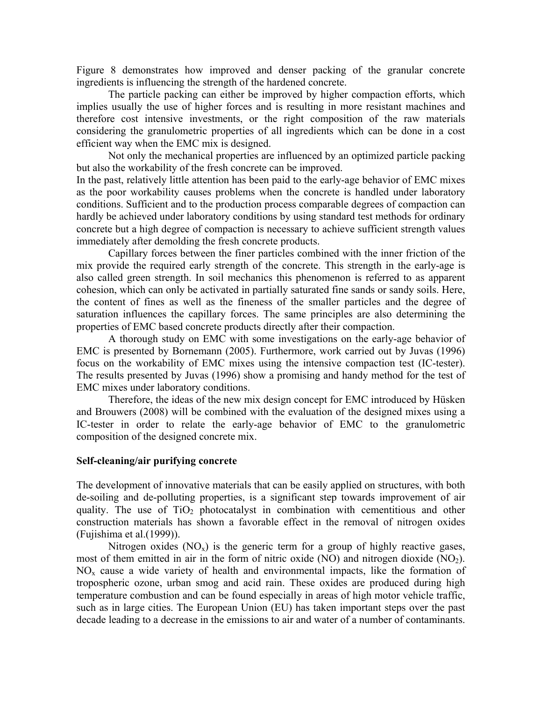Figure 8 demonstrates how improved and denser packing of the granular concrete ingredients is influencing the strength of the hardened concrete.

The particle packing can either be improved by higher compaction efforts, which implies usually the use of higher forces and is resulting in more resistant machines and therefore cost intensive investments, or the right composition of the raw materials considering the granulometric properties of all ingredients which can be done in a cost efficient way when the EMC mix is designed.

 Not only the mechanical properties are influenced by an optimized particle packing but also the workability of the fresh concrete can be improved.

In the past, relatively little attention has been paid to the early-age behavior of EMC mixes as the poor workability causes problems when the concrete is handled under laboratory conditions. Sufficient and to the production process comparable degrees of compaction can hardly be achieved under laboratory conditions by using standard test methods for ordinary concrete but a high degree of compaction is necessary to achieve sufficient strength values immediately after demolding the fresh concrete products.

 Capillary forces between the finer particles combined with the inner friction of the mix provide the required early strength of the concrete. This strength in the early-age is also called green strength. In soil mechanics this phenomenon is referred to as apparent cohesion, which can only be activated in partially saturated fine sands or sandy soils. Here, the content of fines as well as the fineness of the smaller particles and the degree of saturation influences the capillary forces. The same principles are also determining the properties of EMC based concrete products directly after their compaction.

 A thorough study on EMC with some investigations on the early-age behavior of EMC is presented by Bornemann (2005). Furthermore, work carried out by Juvas (1996) focus on the workability of EMC mixes using the intensive compaction test (IC-tester). The results presented by Juvas (1996) show a promising and handy method for the test of EMC mixes under laboratory conditions.

 Therefore, the ideas of the new mix design concept for EMC introduced by Hüsken and Brouwers (2008) will be combined with the evaluation of the designed mixes using a IC-tester in order to relate the early-age behavior of EMC to the granulometric composition of the designed concrete mix.

## **Self-cleaning/air purifying concrete**

The development of innovative materials that can be easily applied on structures, with both de-soiling and de-polluting properties, is a significant step towards improvement of air quality. The use of  $TiO<sub>2</sub>$  photocatalyst in combination with cementitious and other construction materials has shown a favorable effect in the removal of nitrogen oxides (Fujishima et al.(1999)).

Nitrogen oxides  $(NO<sub>x</sub>)$  is the generic term for a group of highly reactive gases, most of them emitted in air in the form of nitric oxide (NO) and nitrogen dioxide  $(NO<sub>2</sub>)$ .  $NO<sub>x</sub>$  cause a wide variety of health and environmental impacts, like the formation of tropospheric ozone, urban smog and acid rain. These oxides are produced during high temperature combustion and can be found especially in areas of high motor vehicle traffic, such as in large cities. The European Union (EU) has taken important steps over the past decade leading to a decrease in the emissions to air and water of a number of contaminants.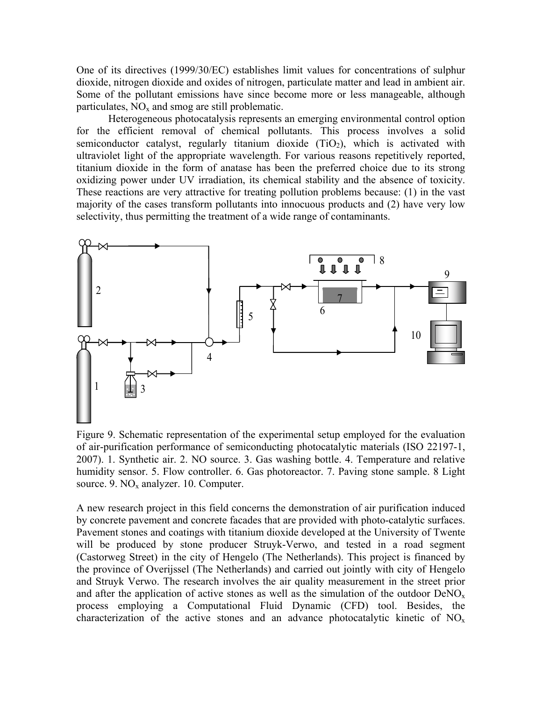One of its directives (1999/30/EC) establishes limit values for concentrations of sulphur dioxide, nitrogen dioxide and oxides of nitrogen, particulate matter and lead in ambient air. Some of the pollutant emissions have since become more or less manageable, although particulates,  $NO<sub>x</sub>$  and smog are still problematic.

Heterogeneous photocatalysis represents an emerging environmental control option for the efficient removal of chemical pollutants. This process involves a solid semiconductor catalyst, regularly titanium dioxide  $(TiO<sub>2</sub>)$ , which is activated with ultraviolet light of the appropriate wavelength. For various reasons repetitively reported, titanium dioxide in the form of anatase has been the preferred choice due to its strong oxidizing power under UV irradiation, its chemical stability and the absence of toxicity. These reactions are very attractive for treating pollution problems because: (1) in the vast majority of the cases transform pollutants into innocuous products and (2) have very low selectivity, thus permitting the treatment of a wide range of contaminants.



Figure 9. Schematic representation of the experimental setup employed for the evaluation of air-purification performance of semiconducting photocatalytic materials (ISO 22197-1, 2007). 1. Synthetic air. 2. NO source. 3. Gas washing bottle. 4. Temperature and relative humidity sensor. 5. Flow controller. 6. Gas photoreactor. 7. Paving stone sample. 8 Light source. 9.  $NO<sub>x</sub>$  analyzer. 10. Computer.

A new research project in this field concerns the demonstration of air purification induced by concrete pavement and concrete facades that are provided with photo-catalytic surfaces. Pavement stones and coatings with titanium dioxide developed at the University of Twente will be produced by stone producer Struyk-Verwo, and tested in a road segment (Castorweg Street) in the city of Hengelo (The Netherlands). This project is financed by the province of Overijssel (The Netherlands) and carried out jointly with city of Hengelo and Struyk Verwo. The research involves the air quality measurement in the street prior and after the application of active stones as well as the simulation of the outdoor  $DeNO<sub>x</sub>$ process employing a Computational Fluid Dynamic (CFD) tool. Besides, the characterization of the active stones and an advance photocatalytic kinetic of  $NO<sub>x</sub>$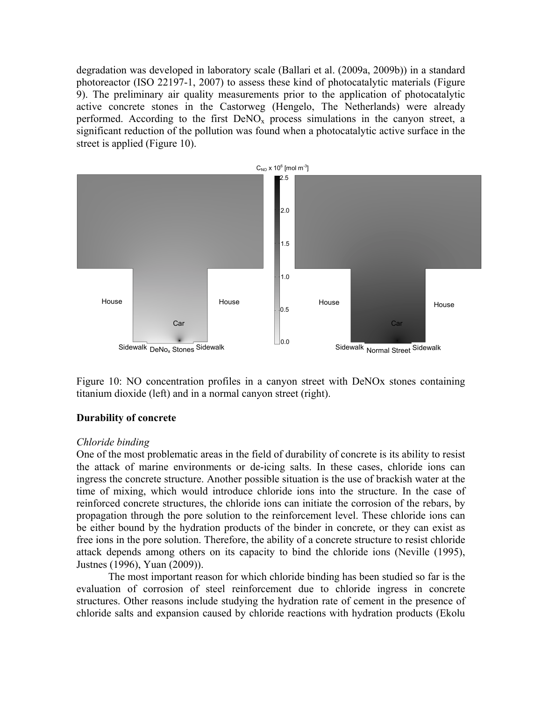degradation was developed in laboratory scale (Ballari et al. (2009a, 2009b)) in a standard photoreactor (ISO 22197-1, 2007) to assess these kind of photocatalytic materials (Figure 9). The preliminary air quality measurements prior to the application of photocatalytic active concrete stones in the Castorweg (Hengelo, The Netherlands) were already performed. According to the first  $DeNO<sub>x</sub>$  process simulations in the canyon street, a significant reduction of the pollution was found when a photocatalytic active surface in the street is applied (Figure 10).



Figure 10: NO concentration profiles in a canyon street with DeNOx stones containing titanium dioxide (left) and in a normal canyon street (right).

## **Durability of concrete**

## *Chloride binding*

One of the most problematic areas in the field of durability of concrete is its ability to resist the attack of marine environments or de-icing salts. In these cases, chloride ions can ingress the concrete structure. Another possible situation is the use of brackish water at the time of mixing, which would introduce chloride ions into the structure. In the case of reinforced concrete structures, the chloride ions can initiate the corrosion of the rebars, by propagation through the pore solution to the reinforcement level. These chloride ions can be either bound by the hydration products of the binder in concrete, or they can exist as free ions in the pore solution. Therefore, the ability of a concrete structure to resist chloride attack depends among others on its capacity to bind the chloride ions (Neville (1995), Justnes (1996), Yuan (2009)).

The most important reason for which chloride binding has been studied so far is the evaluation of corrosion of steel reinforcement due to chloride ingress in concrete structures. Other reasons include studying the hydration rate of cement in the presence of chloride salts and expansion caused by chloride reactions with hydration products (Ekolu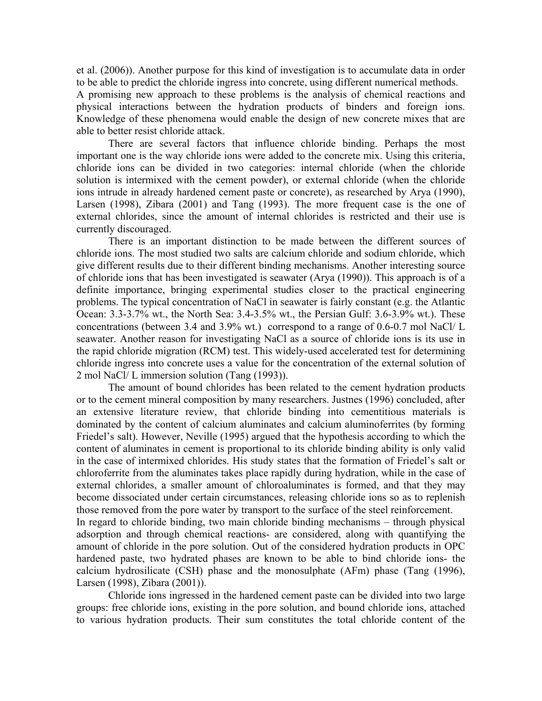et al. (2006)). Another purpose for this kind of investigation is to accumulate data in order to be able to predict the chloride ingress into concrete, using different numerical methods.

A promising new approach to these problems is the analysis of chemical reactions and physical interactions between the hydration products of binders and foreign ions. Knowledge of these phenomena would enable the design of new concrete mixes that are able to better resist chloride attack.

There are several factors that influence chloride binding. Perhaps the most important one is the way chloride ions were added to the concrete mix. Using this criteria, chloride ions can be divided in two categories: internal chloride (when the chloride solution is intermixed with the cement powder), or external chloride (when the chloride ions intrude in already hardened cement paste or concrete), as researched by Arya (1990), Larsen (1998), Zibara (2001) and Tang (1993). The more frequent case is the one of external chlorides, since the amount of internal chlorides is restricted and their use is currently discouraged.

There is an important distinction to be made between the different sources of chloride ions. The most studied two salts are calcium chloride and sodium chloride, which give different results due to their different binding mechanisms. Another interesting source of chloride ions that has been investigated is seawater (Arya (1990)). This approach is of a definite importance, bringing experimental studies closer to the practical engineering problems. The typical concentration of NaCl in seawater is fairly constant (e.g. the Atlantic Ocean: 3.3-3.7% wt., the North Sea: 3.4-3.5% wt., the Persian Gulf: 3.6-3.9% wt.). These concentrations (between 3.4 and 3.9% wt.) correspond to a range of 0.6-0.7 mol NaCl/ L seawater. Another reason for investigating NaCl as a source of chloride ions is its use in the rapid chloride migration (RCM) test. This widely-used accelerated test for determining chloride ingress into concrete uses a value for the concentration of the external solution of 2 mol NaCl/ L immersion solution (Tang (1993)).

The amount of bound chlorides has been related to the cement hydration products or to the cement mineral composition by many researchers. Justnes (1996) concluded, after an extensive literature review, that chloride binding into cementitious materials is dominated by the content of calcium aluminates and calcium aluminoferrites (by forming Friedel's salt). However, Neville (1995) argued that the hypothesis according to which the content of aluminates in cement is proportional to its chloride binding ability is only valid in the case of intermixed chlorides. His study states that the formation of Friedel's salt or chloroferrite from the aluminates takes place rapidly during hydration, while in the case of external chlorides, a smaller amount of chloroaluminates is formed, and that they may become dissociated under certain circumstances, releasing chloride ions so as to replenish those removed from the pore water by transport to the surface of the steel reinforcement. In regard to chloride binding, two main chloride binding mechanisms – through physical adsorption and through chemical reactions- are considered, along with quantifying the amount of chloride in the pore solution. Out of the considered hydration products in OPC hardened paste, two hydrated phases are known to be able to bind chloride ions- the calcium hydrosilicate (CSH) phase and the monosulphate (AFm) phase (Tang (1996), Larsen (1998), Zibara (2001)).

Chloride ions ingressed in the hardened cement paste can be divided into two large groups: free chloride ions, existing in the pore solution, and bound chloride ions, attached to various hydration products. Their sum constitutes the total chloride content of the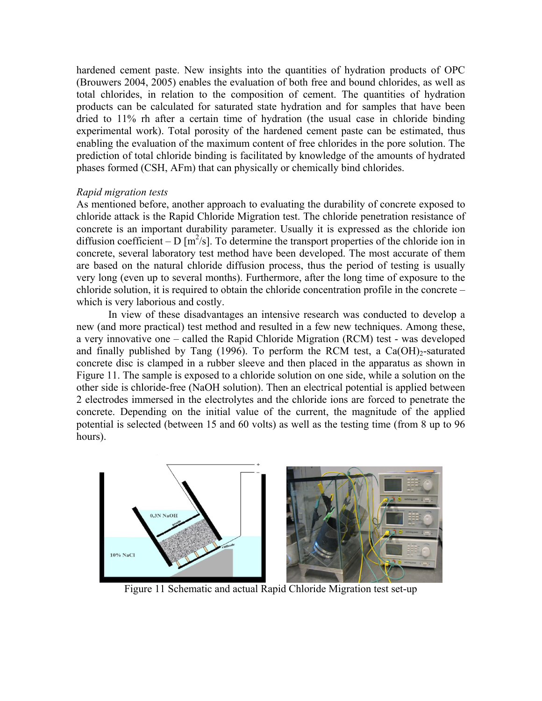hardened cement paste. New insights into the quantities of hydration products of OPC (Brouwers 2004, 2005) enables the evaluation of both free and bound chlorides, as well as total chlorides, in relation to the composition of cement. The quantities of hydration products can be calculated for saturated state hydration and for samples that have been dried to 11% rh after a certain time of hydration (the usual case in chloride binding experimental work). Total porosity of the hardened cement paste can be estimated, thus enabling the evaluation of the maximum content of free chlorides in the pore solution. The prediction of total chloride binding is facilitated by knowledge of the amounts of hydrated phases formed (CSH, AFm) that can physically or chemically bind chlorides.

## *Rapid migration tests*

As mentioned before, another approach to evaluating the durability of concrete exposed to chloride attack is the Rapid Chloride Migration test. The chloride penetration resistance of concrete is an important durability parameter. Usually it is expressed as the chloride ion diffusion coefficient – D  $[m^2/s]$ . To determine the transport properties of the chloride ion in concrete, several laboratory test method have been developed. The most accurate of them are based on the natural chloride diffusion process, thus the period of testing is usually very long (even up to several months). Furthermore, after the long time of exposure to the chloride solution, it is required to obtain the chloride concentration profile in the concrete – which is very laborious and costly.

 In view of these disadvantages an intensive research was conducted to develop a new (and more practical) test method and resulted in a few new techniques. Among these, a very innovative one – called the Rapid Chloride Migration (RCM) test - was developed and finally published by Tang (1996). To perform the RCM test, a  $Ca(OH)_{2}$ -saturated concrete disc is clamped in a rubber sleeve and then placed in the apparatus as shown in Figure 11. The sample is exposed to a chloride solution on one side, while a solution on the other side is chloride-free (NaOH solution). Then an electrical potential is applied between 2 electrodes immersed in the electrolytes and the chloride ions are forced to penetrate the concrete. Depending on the initial value of the current, the magnitude of the applied potential is selected (between 15 and 60 volts) as well as the testing time (from 8 up to 96 hours).



Figure 11 Schematic and actual Rapid Chloride Migration test set-up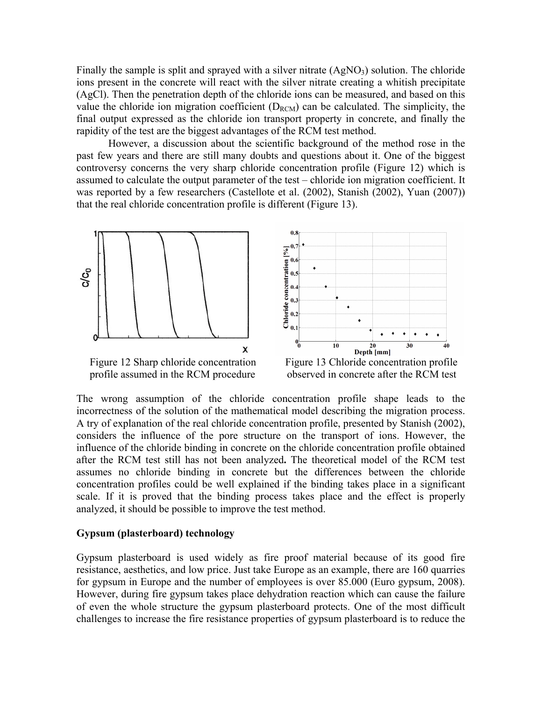Finally the sample is split and sprayed with a silver nitrate  $(AgNO<sub>3</sub>)$  solution. The chloride ions present in the concrete will react with the silver nitrate creating a whitish precipitate (AgCl). Then the penetration depth of the chloride ions can be measured, and based on this value the chloride ion migration coefficient  $(D_{RCM})$  can be calculated. The simplicity, the final output expressed as the chloride ion transport property in concrete, and finally the rapidity of the test are the biggest advantages of the RCM test method.

 However, a discussion about the scientific background of the method rose in the past few years and there are still many doubts and questions about it. One of the biggest controversy concerns the very sharp chloride concentration profile (Figure 12) which is assumed to calculate the output parameter of the test – chloride ion migration coefficient. It was reported by a few researchers (Castellote et al. (2002), Stanish (2002), Yuan (2007)) that the real chloride concentration profile is different (Figure 13).





profile assumed in the RCM procedure observed in concrete after the RCM test

The wrong assumption of the chloride concentration profile shape leads to the incorrectness of the solution of the mathematical model describing the migration process. A try of explanation of the real chloride concentration profile, presented by Stanish (2002), considers the influence of the pore structure on the transport of ions. However, the influence of the chloride binding in concrete on the chloride concentration profile obtained after the RCM test still has not been analyzed**.** The theoretical model of the RCM test assumes no chloride binding in concrete but the differences between the chloride concentration profiles could be well explained if the binding takes place in a significant scale. If it is proved that the binding process takes place and the effect is properly analyzed, it should be possible to improve the test method.

### **Gypsum (plasterboard) technology**

Gypsum plasterboard is used widely as fire proof material because of its good fire resistance, aesthetics, and low price. Just take Europe as an example, there are 160 quarries for gypsum in Europe and the number of employees is over 85.000 (Euro gypsum, 2008). However, during fire gypsum takes place dehydration reaction which can cause the failure of even the whole structure the gypsum plasterboard protects. One of the most difficult challenges to increase the fire resistance properties of gypsum plasterboard is to reduce the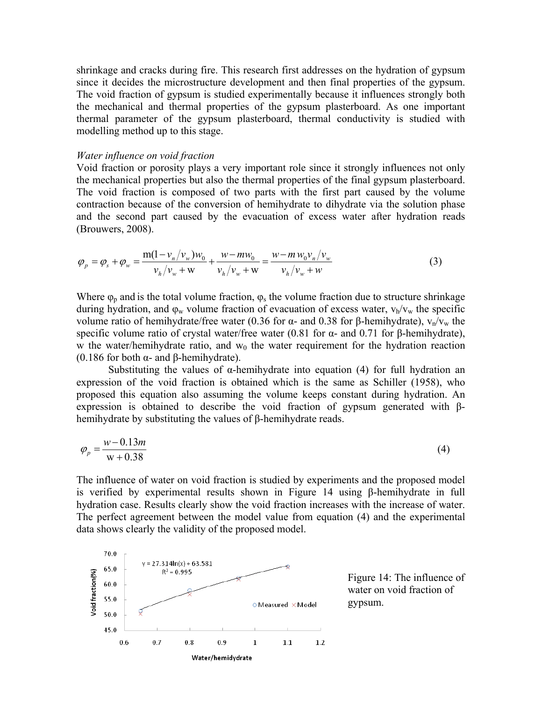shrinkage and cracks during fire. This research first addresses on the hydration of gypsum since it decides the microstructure development and then final properties of the gypsum. The void fraction of gypsum is studied experimentally because it influences strongly both the mechanical and thermal properties of the gypsum plasterboard. As one important thermal parameter of the gypsum plasterboard, thermal conductivity is studied with modelling method up to this stage.

#### *Water influence on void fraction*

Void fraction or porosity plays a very important role since it strongly influences not only the mechanical properties but also the thermal properties of the final gypsum plasterboard. The void fraction is composed of two parts with the first part caused by the volume contraction because of the conversion of hemihydrate to dihydrate via the solution phase and the second part caused by the evacuation of excess water after hydration reads (Brouwers, 2008).

$$
\varphi_{p} = \varphi_{s} + \varphi_{w} = \frac{m(1 - v_{n}/v_{w})w_{0}}{v_{h}/v_{w} + w} + \frac{w - mw_{0}}{v_{h}/v_{w} + w} = \frac{w - m w_{0}v_{n}/v_{w}}{v_{h}/v_{w} + w}
$$
(3)

Where  $\varphi_p$  and is the total volume fraction,  $\varphi_s$  the volume fraction due to structure shrinkage during hydration, and  $\varphi_w$  volume fraction of evacuation of excess water,  $v_h/v_w$  the specific volume ratio of hemihydrate/free water (0.36 for α- and 0.38 for β-hemihydrate),  $v_n/v_w$  the specific volume ratio of crystal water/free water (0.81 for  $\alpha$ - and 0.71 for β-hemihydrate), w the water/hemihydrate ratio, and  $w_0$  the water requirement for the hydration reaction (0.186 for both α- and β-hemihydrate).

Substituting the values of  $\alpha$ -hemihydrate into equation (4) for full hydration an expression of the void fraction is obtained which is the same as Schiller (1958), who proposed this equation also assuming the volume keeps constant during hydration. An expression is obtained to describe the void fraction of gypsum generated with βhemihydrate by substituting the values of β-hemihydrate reads.

$$
\varphi_p = \frac{w - 0.13m}{w + 0.38}
$$
\n(4)

The influence of water on void fraction is studied by experiments and the proposed model is verified by experimental results shown in Figure 14 using β-hemihydrate in full hydration case. Results clearly show the void fraction increases with the increase of water. The perfect agreement between the model value from equation (4) and the experimental data shows clearly the validity of the proposed model.



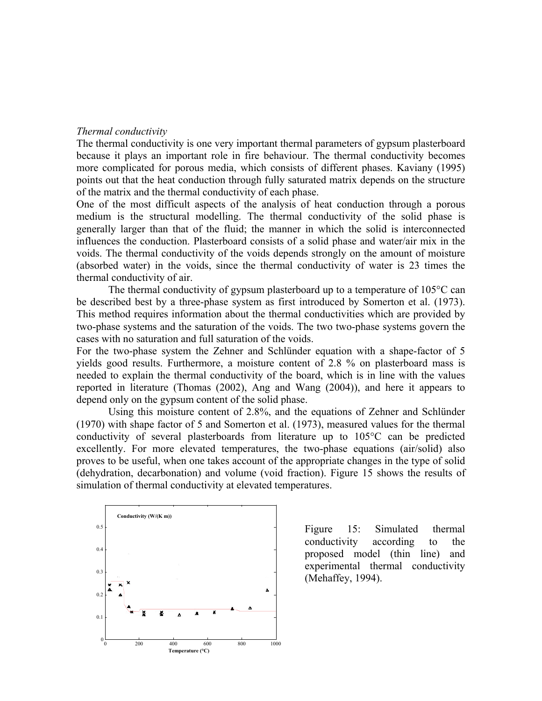## *Thermal conductivity*

The thermal conductivity is one very important thermal parameters of gypsum plasterboard because it plays an important role in fire behaviour. The thermal conductivity becomes more complicated for porous media, which consists of different phases. Kaviany (1995) points out that the heat conduction through fully saturated matrix depends on the structure of the matrix and the thermal conductivity of each phase.

One of the most difficult aspects of the analysis of heat conduction through a porous medium is the structural modelling. The thermal conductivity of the solid phase is generally larger than that of the fluid; the manner in which the solid is interconnected influences the conduction. Plasterboard consists of a solid phase and water/air mix in the voids. The thermal conductivity of the voids depends strongly on the amount of moisture (absorbed water) in the voids, since the thermal conductivity of water is 23 times the thermal conductivity of air.

The thermal conductivity of gypsum plasterboard up to a temperature of 105°C can be described best by a three-phase system as first introduced by Somerton et al. (1973). This method requires information about the thermal conductivities which are provided by two-phase systems and the saturation of the voids. The two two-phase systems govern the cases with no saturation and full saturation of the voids.

For the two-phase system the Zehner and Schlünder equation with a shape-factor of 5 yields good results. Furthermore, a moisture content of 2.8 % on plasterboard mass is needed to explain the thermal conductivity of the board, which is in line with the values reported in literature (Thomas (2002), Ang and Wang (2004)), and here it appears to depend only on the gypsum content of the solid phase.

Using this moisture content of 2.8%, and the equations of Zehner and Schlünder (1970) with shape factor of 5 and Somerton et al. (1973), measured values for the thermal conductivity of several plasterboards from literature up to 105°C can be predicted excellently. For more elevated temperatures, the two-phase equations (air/solid) also proves to be useful, when one takes account of the appropriate changes in the type of solid (dehydration, decarbonation) and volume (void fraction). Figure 15 shows the results of simulation of thermal conductivity at elevated temperatures.



Figure 15: Simulated thermal conductivity according to the proposed model (thin line) and experimental thermal conductivity (Mehaffey, 1994).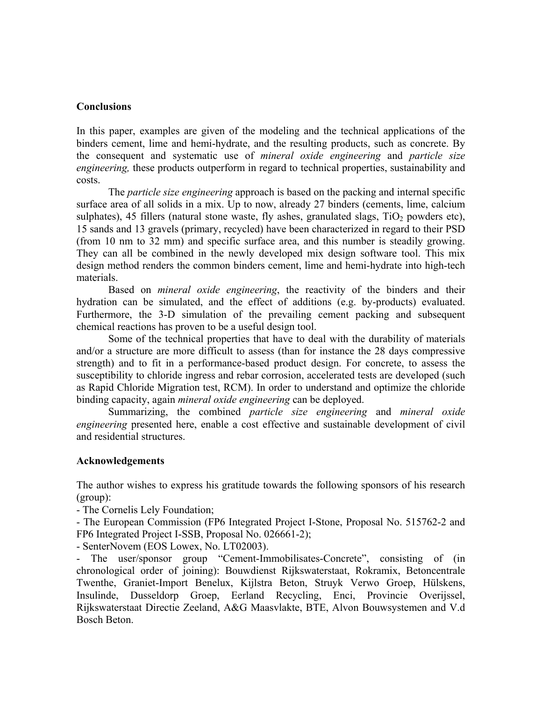## **Conclusions**

In this paper, examples are given of the modeling and the technical applications of the binders cement, lime and hemi-hydrate, and the resulting products, such as concrete. By the consequent and systematic use of *mineral oxide engineering* and *particle size engineering*, these products outperform in regard to technical properties, sustainability and costs.

The *particle size engineering* approach is based on the packing and internal specific surface area of all solids in a mix. Up to now, already 27 binders (cements, lime, calcium sulphates), 45 fillers (natural stone waste, fly ashes, granulated slags,  $TiO<sub>2</sub>$  powders etc), 15 sands and 13 gravels (primary, recycled) have been characterized in regard to their PSD (from 10 nm to 32 mm) and specific surface area, and this number is steadily growing. They can all be combined in the newly developed mix design software tool. This mix design method renders the common binders cement, lime and hemi-hydrate into high-tech materials.

Based on *mineral oxide engineering*, the reactivity of the binders and their hydration can be simulated, and the effect of additions (e.g. by-products) evaluated. Furthermore, the 3-D simulation of the prevailing cement packing and subsequent chemical reactions has proven to be a useful design tool.

Some of the technical properties that have to deal with the durability of materials and/or a structure are more difficult to assess (than for instance the 28 days compressive strength) and to fit in a performance-based product design. For concrete, to assess the susceptibility to chloride ingress and rebar corrosion, accelerated tests are developed (such as Rapid Chloride Migration test, RCM). In order to understand and optimize the chloride binding capacity, again *mineral oxide engineering* can be deployed.

Summarizing, the combined *particle size engineering* and *mineral oxide engineering* presented here, enable a cost effective and sustainable development of civil and residential structures.

## **Acknowledgements**

The author wishes to express his gratitude towards the following sponsors of his research (group):

- The Cornelis Lely Foundation;

- The European Commission (FP6 Integrated Project I-Stone, Proposal No. 515762-2 and FP6 Integrated Project I-SSB, Proposal No. 026661-2);

- SenterNovem (EOS Lowex, No. LT02003).

- The user/sponsor group "Cement-Immobilisates-Concrete", consisting of (in chronological order of joining): Bouwdienst Rijkswaterstaat, Rokramix, Betoncentrale Twenthe, Graniet-Import Benelux, Kijlstra Beton, Struyk Verwo Groep, Hülskens, Insulinde, Dusseldorp Groep, Eerland Recycling, Enci, Provincie Overijssel, Rijkswaterstaat Directie Zeeland, A&G Maasvlakte, BTE, Alvon Bouwsystemen and V.d Bosch Beton.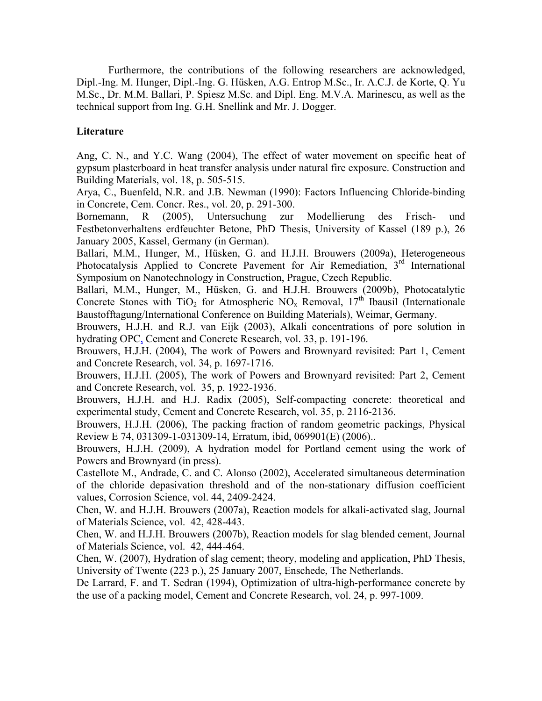Furthermore, the contributions of the following researchers are acknowledged, Dipl.-Ing. M. Hunger, Dipl.-Ing. G. Hüsken, A.G. Entrop M.Sc., Ir. A.C.J. de Korte, Q. Yu M.Sc., Dr. M.M. Ballari, P. Spiesz M.Sc. and Dipl. Eng. M.V.A. Marinescu, as well as the technical support from Ing. G.H. Snellink and Mr. J. Dogger.

# **Literature**

Ang, C. N., and Y.C. Wang (2004), The effect of water movement on specific heat of gypsum plasterboard in heat transfer analysis under natural fire exposure. Construction and Building Materials, vol. 18, p. 505-515.

Arya, C., Buenfeld, N.R. and J.B. Newman (1990): Factors Influencing Chloride-binding in Concrete, Cem. Concr. Res., vol. 20, p. 291-300.

Bornemann, R (2005), Untersuchung zur Modellierung des Frisch- und Festbetonverhaltens erdfeuchter Betone, PhD Thesis, University of Kassel (189 p.), 26 January 2005, Kassel, Germany (in German).

Ballari, M.M., Hunger, M., Hüsken, G. and H.J.H. Brouwers (2009a), Heterogeneous Photocatalysis Applied to Concrete Pavement for Air Remediation,  $3<sup>rd</sup>$  International Symposium on Nanotechnology in Construction, Prague, Czech Republic.

Ballari, M.M., Hunger, M., Hüsken, G. and H.J.H. Brouwers (2009b), Photocatalytic Concrete Stones with  $TiO<sub>2</sub>$  for Atmospheric NO<sub>x</sub> Removal, 17<sup>th</sup> Ibausil (Internationale Baustofftagung/International Conference on Building Materials), Weimar, Germany.

Brouwers, H.J.H. and R.J. van Eijk (2003), Alkali concentrations of pore solution in hydrating OPC, Cement and Concrete Research, vol. 33, p. 191-196.

Brouwers, H.J.H. (2004), The work of Powers and Brownyard revisited: Part 1, Cement and Concrete Research, vol. 34, p. 1697-1716.

Brouwers, H.J.H. (2005), The work of Powers and Brownyard revisited: Part 2, Cement and Concrete Research, vol. 35, p. 1922-1936.

Brouwers, H.J.H. and H.J. Radix (2005), Self-compacting concrete: theoretical and experimental study, Cement and Concrete Research, vol. 35, p. 2116-2136.

Brouwers, H.J.H. (2006), The packing fraction of random geometric packings, Physical Review E 74, 031309-1-031309-14, Erratum, ibid, 069901(E) (2006)..

Brouwers, H.J.H. (2009), A hydration model for Portland cement using the work of Powers and Brownyard (in press).

Castellote M., Andrade, C. and C. Alonso (2002), Accelerated simultaneous determination of the chloride depasivation threshold and of the non-stationary diffusion coefficient values, Corrosion Science, vol. 44, 2409-2424.

Chen, W. and H.J.H. Brouwers (2007a), Reaction models for alkali-activated slag, Journal of Materials Science, vol. 42, 428-443.

Chen, W. and H.J.H. Brouwers (2007b), Reaction models for slag blended cement, Journal of Materials Science, vol. 42, 444-464.

Chen, W. (2007), Hydration of slag cement; theory, modeling and application, PhD Thesis, University of Twente (223 p.), 25 January 2007, Enschede, The Netherlands.

De Larrard, F. and T. Sedran (1994), Optimization of ultra-high-performance concrete by the use of a packing model, Cement and Concrete Research, vol. 24, p. 997-1009.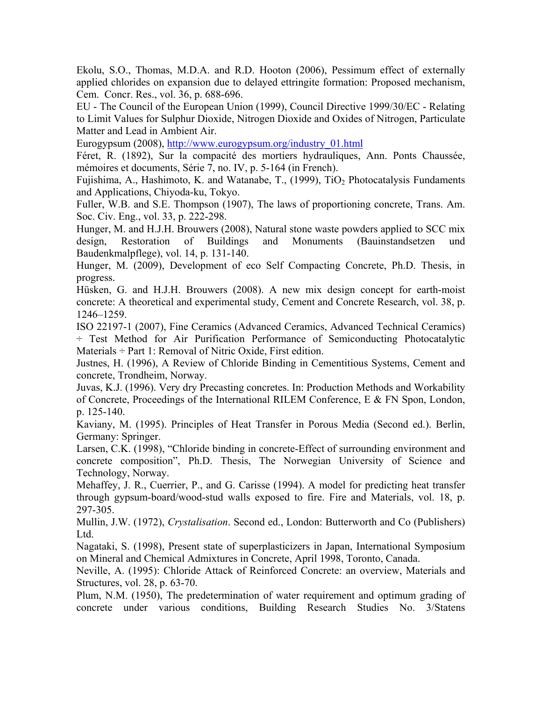Ekolu, S.O., Thomas, M.D.A. and R.D. Hooton (2006), Pessimum effect of externally applied chlorides on expansion due to delayed ettringite formation: Proposed mechanism, Cem. Concr. Res., vol. 36, p. 688-696.

EU - The Council of the European Union (1999), Council Directive 1999/30/EC - Relating to Limit Values for Sulphur Dioxide, Nitrogen Dioxide and Oxides of Nitrogen, Particulate Matter and Lead in Ambient Air.

Eurogypsum (2008), http://www.eurogypsum.org/industry\_01.html

Féret, R. (1892), Sur la compacité des mortiers hydrauliques, Ann. Ponts Chaussée, mémoires et documents, Série 7, no. IV, p. 5-164 (in French).

Fujishima, A., Hashimoto, K. and Watanabe, T.,  $(1999)$ , TiO<sub>2</sub> Photocatalysis Fundaments and Applications, Chiyoda-ku, Tokyo.

Fuller, W.B. and S.E. Thompson (1907), The laws of proportioning concrete, Trans. Am. Soc. Civ. Eng., vol. 33, p. 222-298.

Hunger, M. and H.J.H. Brouwers (2008), Natural stone waste powders applied to SCC mix design, Restoration of Buildings and Monuments (Bauinstandsetzen und Baudenkmalpflege), vol. 14, p. 131-140.

Hunger, M. (2009), Development of eco Self Compacting Concrete, Ph.D. Thesis, in progress.

Hüsken, G. and H.J.H. Brouwers (2008). A new mix design concept for earth-moist concrete: A theoretical and experimental study, Cement and Concrete Research, vol. 38, p. 1246–1259.

ISO 22197-1 (2007), Fine Ceramics (Advanced Ceramics, Advanced Technical Ceramics) ÷ Test Method for Air Purification Performance of Semiconducting Photocatalytic Materials  $\div$  Part 1: Removal of Nitric Oxide, First edition.

Justnes, H. (1996), A Review of Chloride Binding in Cementitious Systems, Cement and concrete, Trondheim, Norway.

Juvas, K.J. (1996). Very dry Precasting concretes. In: Production Methods and Workability of Concrete, Proceedings of the International RILEM Conference, E & FN Spon, London, p. 125-140.

Kaviany, M. (1995). Principles of Heat Transfer in Porous Media (Second ed.). Berlin, Germany: Springer.

Larsen, C.K. (1998), "Chloride binding in concrete-Effect of surrounding environment and concrete composition", Ph.D. Thesis, The Norwegian University of Science and Technology, Norway.

Mehaffey, J. R., Cuerrier, P., and G. Carisse (1994). A model for predicting heat transfer through gypsum-board/wood-stud walls exposed to fire. Fire and Materials, vol. 18, p. 297-305.

Mullin, J.W. (1972), *Crystalisation*. Second ed., London: Butterworth and Co (Publishers) Ltd.

Nagataki, S. (1998), Present state of superplasticizers in Japan, International Symposium on Mineral and Chemical Admixtures in Concrete, April 1998, Toronto, Canada.

Neville, A. (1995): Chloride Attack of Reinforced Concrete: an overview, Materials and Structures, vol. 28, p. 63-70.

Plum, N.M. (1950), The predetermination of water requirement and optimum grading of concrete under various conditions, Building Research Studies No. 3/Statens